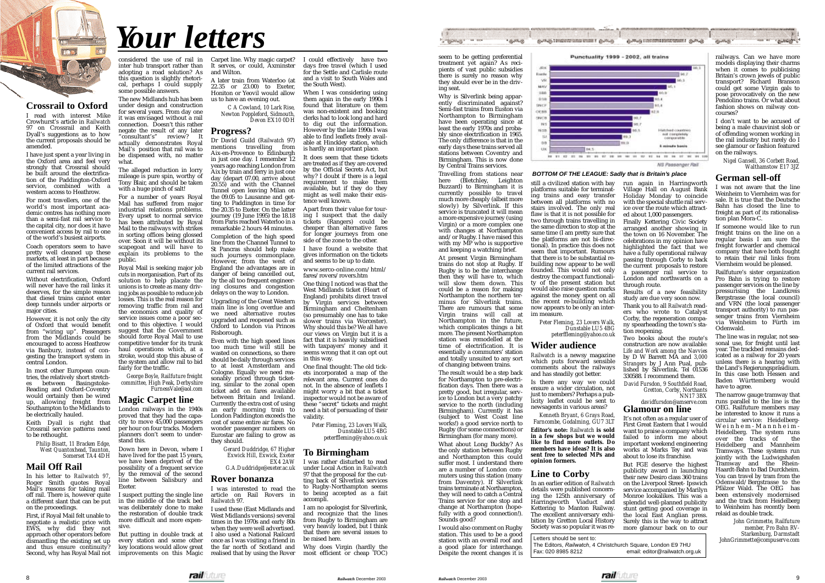seem to be getting preferential treatment yet again? As recipients of vast public subsidies there is surely no reason why they should ever be in the driving seat.

Travelling from stations near here (Bletchley, Leighton Buzzard) to Birmingham it is currently possible to travel much more cheaply (albeit more slowly) by Silverlink. If this service is truncated it will mean a more expensive journey (using Virgin) or a more complex one with changes at Northampton and/or Rugby. I have raised this with my  $\overrightarrow{MP}$  who is supportive and keeping a watching brief.

Why is Silverlink being apparently discriminated against? Semi-fast trains from Euston via Northampton to Birmingham have been operating since at least the early 1970s and probably since electrification in 1965. The only difference is that in the early days these trains served all stations between Coventry and Birmingham. This is now done by Central Trains services.

At present Virgin Birmingham trains do not stop at Rugby. If Rugby is to be the interchange then they will have to, which will slow them down. This could be a reason for making Northampton the northern terminus for Silverlink trains. There are rumours that some Virgin trains will call at Northampton in the future, which complicates things a bit more. The present Northampton station was remodelled at the time of electrification. It is essentially a commuters' station and totally unsuited to any sort of changing between trains.

The result would be a step back for Northampton to pre-electrification days. Then there was a pretty good, but irregular, service to London but a very patchy service to the north (including Birmingham). Currently it has (subject to West Coast line works!) a good service north to Rugby (for some connections) or Birmingham (for many more).

What about Long Buckby? As the only station between Rugby and Northampton this could suffer most. I understand there are a number of London commuters using this station (many from Daventry). If Silverlink trains terminate at Northampton, they will need to catch a Central Trains service for one stop and change at Northampton (hopefully with a good connection!). Sounds good?

I would also comment on Rugby station. This used to be a good station with an overall roof and a good place for interchange. Despite the recent changes it is



But FGE deserve the highest publicity award in launching their new Desiro class 360 trains on the Liverpool Street- Ipswich service accompanied by Marilyn Monroe lookalikes. This was a splendid well-planned publicity stunt getting good coverage in the local East Anglian press. Surely this is the way to attract more glamour back on to our

still a civilized station with bay platforms suitable for terminating trains and easy transfer between all platforms with no stairs involved. The only real flaw is that it is not possible for two through trains travelling in the same direction to stop at the same time (I am pretty sure that the platforms are not bi-directional). In practice this does not seem that important. Rumours that there is to be substantial rebuilding now appear to be well founded. This would not only destroy the compact functionality of the present station but would also raise question marks against the money spent on all the recent re-building which now appears to be only an interim measure.

> *Peter Fleming, 23 Lovers Walk, Dunstable LU5 4BG peterffleming@yahoo.co.uk*

# **Wider audience**

*Railwatch* is a newsy magazine which puts forward sensible comments about the railways and has steadily got better.

Is there any way we could ensure a wider circulation, not just to members? Perhaps a publicity leaflet could be sent to newsagents in various areas?

*Kenneth Bryant, 6 Grays Road, Farncombe, Godalming, GU7 3LT*

**Editor's note:** *Railwatch* **is sold in a few shops but we would like to find more outlets. Do members have ideas? It is also sent free to selected MPs and opinion formers.**

#### **Line to Corby**

In an earlier edition of *Railwatch* details were published concerning the 125th anniversary of Harringworth Viaduct and Kettering to Manton Railway. The excellent anniversary exhibition by Gretton Local History Society was so popular it was re-

run again in Harringworth Village Hall on August Bank Holiday Monday to coincide with the special shuttle rail service over the route which attracted about 1,000 passengers.

Finally Kettering Civic Society arranged another showing in the town on 16 November. The celebrations in my opinion have highlighted the fact that we have a fully operational railway passing through Corby to back the current proposals to restore a passenger rail service to London and northwards on a through route.

Results of a new feasibility study are due very soon now.

Thank you to all *Railwatch* readers who wrote to Catalyst Corby, the regeneration company spearheading the town's station reopening.

Two books about the route's construction are now available: *Life and Work among the Navvies* by D W Barrett MA and *3,000 Strangers* by J Ann Pual, published by Silverlink. Tel 01536 330588. I recommend them.

considered the use of rail in inter hub transport rather than adopting a road solution? As this question is slightly rhetorical, perhaps I could supply some possible answers.

> *David Fursdon, 9 Southfield Road, Gretton, Corby, Northants NN17 3BX*

> *davidfursdon@amserve.com* **Glamour on line**

It's not often as a regular user of First Great Eastern that I would want to praise a company which failed to inform me about important weekend engineering works at Marks Tey and was about to lose its franchise.

railways. Can we have more models displaying their charms when it comes to publicising Britain's crown jewels of public transport? Richard Branson could get some Virgin gals to pose provocatively on the new Pendolino trains. Or what about fashion shows on railway concourses?

I don't want to be accused of being a male chauvinist slob or of offending women working in the rail industry but rarely do I see glamour or fashion featured on the railways.

*Nigel Gansell, 36 Corbett Road, Walthamstow E17 3JZ*

#### **German sell-off**

I was not aware that the line Weinheim to Viernheim was for sale. It is true that the Deutsche Bahn has closed the line to freight as part of its rationalisation plan Mora-C.

If someone would like to run freight trains on the line on a regular basis I am sure the freight forwarder and chemical company that have both fought to retain their rail links from Viernheim would be pleased.

Railfuture's sister organization Pro Bahn is trying to restore passenger services on the line by pressurising the Landkreis Bergstrasse (the local council) and VRN (the local passenger transport authority) to run passenger trains from Viernheim via Weinheim to Fürth im Odenwald.

The line was in regular, not seasonal use, for freight until last year. The trackbed remains dedicated as a railway for 20 years unless there is a hearing with the Land's Regierungspräsidium. In this case both Hessen and Baden Württemberg would have to agree.

The narrow gauge tramway that runs parallel to the line is the OEG. Railfuture members may be interested to know it runs a circular service: Heidelberg-Weinhem-Mannheim-Heidelberg. The system runs over the tracks of the Heidelberg and Mannheim Tramways. These systems run jointly with the Ludwigshafen Tramway and the Rhein-Haardt-Bahn to Bad Durckheim. You can travel by tram from the Odenwald/Bergstrasse to the Pfälzer Wald. The OEG has been extensively modernised and the track from Heidelberg to Weinheim has recently been relaid as double track.

*John Grimmette, Railfuture member, Pro Bahn RV-Starkenburg, Darmstadt JohnGrimmette@compuserve.com*



# **Crossrail to Oxford**

I read with interest Mike Crowhurst's article in *Railwatch* 97 on Crossrail and Keith Dyall's suggestions as to how the current proposals should be amended.

I have just spent a year living in the Oxford area and feel very strongly that Crossrail should be built around the electrification of the Paddington-Oxford service, combined with a western access to Heathrow.

> Letters should be sent to: The Editors, *Railwatch*, 4 Christchurch Square, London E9 7HU<br>Fax: 020 8985 8212 email: editor@railwatch.ord email: editor@railwatch.org.uk





For most travellers, one of the world's most important academic centres has nothing more than a semi-fast rail service to the capital city, nor does it have convenient access by rail to one of the world's busiest airports.

Punctuality 1999 - 2002, all trains

Coach operators seem to have pretty well cleaned up these markets, at least in part because of the limited attractions of the current rail services.

Without electrification, Oxford will never have the rail links it deserves, for the simple reason that diesel trains cannot enter deep tunnels under airports or major cities.

However, it is not only the city of Oxford that would benefit from "wiring up". Passengers from the Midlands could be encouraged to access Heathrow via Banbury, instead of congesting the transport system in central London.

In most other European countries, the relatively short stretches between Basingstoke-Reading and Oxford-Coventry would certainly then be wired up, allowing freight from Southampton to the Midlands to be electrically hauled.

Keith Dyall is right that Crossrail service patterns need to be rethought.

*Philip Bisatt, 11 Bracken Edge, West Quantoxhead, Taunton, Somerset TA4 4DH*

# **Mail Off Rail**

In his letter to *Railwatch 97*, Roger Smith quotes Royal Mail's reasons for taking mail off rail. There is, however quite a different slant that can be put on the proceedings.

First, if Royal Mail felt unable to negotiate a realistic price with EWS, why did they not approach other operators before dismantling the existing set up and thus ensure continuity? Second, why has Royal Mail not The new Midlands hub has been under design and construction for several years. From day one it was envisaged without a rail connection. Doesn't this rather negate the result of any later "consultant's" review? It actually demonstrates Royal Mail's position that rail was to be dispensed with, no matter what.

The alleged reduction in lorry mileage is pure spin, worthy of Tony Blair, and should be taken with a huge pinch of salt!

For a number of years Royal Mail has suffered from major industrial relations problems. Every upset to normal service has been attributed by Royal Mail to the railways with strikes in sorting offices being glossed over. Soon it will be without its scapegoat and will have to explain its problems to the public.

Royal Mail is seeking major job cuts in reorganisation. Part of its solution to help placate the unions is to create as many driving jobs as possible to reduce job losses. This is the real reason for removing traffic from rail and the economics and quality of service issues come a poor second to this objective. I would suggest that the Government should force Royal Mail to use competitive tender for its trunk haul operations which, at a stroke, would stop this abuse of the system and allow rail to bid fairly for the traffic.

*George Boyle, Railfuture freight committee, High Peak, Derbyshire FurnessVale@aol.com*

#### **Magic Carpet line**

London railways in the 1940s proved that they had the capacity to move 45,000 passengers per hour on four tracks. Modern planners don't seem to understand this.

Down here in Devon, where I have lived for the past 15 years, we have been deprived of the possibility of a frequent service by the removal of the second line between Salisbury and Exeter.

I suspect putting the single line in the middle of the track bed was deliberately done to make the restoration of double track more difficult and more expensive.

But putting in double track at every station and some other key locations would allow great improvements on this Magic Carpet line. Why magic carpet? It serves, or could, Axminster and Wilton.

A later train from Waterloo (at 22.35 or 23.00) to Exeter, Honiton or Yeovil would allow us to have an evening out.

> *C A Cowland, 10 Lark Rise, Newton Poppleford, Sidmouth, Devon EX10 0DH*

# **Progress?**

Dr David Guild (*Railwatch* 97) mentions travelling from Aix-en-Provence to Edinburgh in just one day. I remember 12 years ago reaching London from Aix by train and ferry in just one day (depart 07.00, arrive about 20.55) and with the Channel Tunnel open leaving Milan on the 09.05 to Lausanne and getting to Paddington in time for the 20.35 to Exeter. On the latter journey (19 June 1995) the 18.18 from Paris reached Waterloo in a remarkable 2 hours 44 minutes.

Completion of the high speed line from the Channel Tunnel to St Pancras should help make such journeys commonplace. However, from the west of England the advantages are in danger of being cancelled out, by the all too frequent engineering closures and congestion delays on the way to London.

Upgrading of the Great Western main line is long overdue and we need alternative routes upgraded and reopened such as Oxford to London via Princes Risborough.

Even with the high speed lines too much time will still be wasted on connections, so there should be daily through services to at least Amsterdam and Cologne. Equally we need reasonably priced through ticketing, similar to the zonal open ticket add on fares available between Britain and Ireland. Currently the extra cost of using an early morning train to London Paddington exceeds the cost of some entire air fares. No wonder passenger numbers on Eurostar are failing to grow as they should.

> *Gerard Duddridge, 67 Higher Exwick Hill, Exwick, Exeter EX4 2AW G.A.Duddridge@exeter.ac.uk*

#### **Rover bonanza**

I was interested to read the article on Rail Rovers in *Railwatch* 97.

I could effectively have two days free travel (which I used for the Settle and Carlisle route and a visit to South Wales and the South West).

When I was considering using them again in the early 1990s I found that literature on them was non-existent and booking clerks had to look long and hard to dig out the information. However by the late 1990s I was able to find leaflets freely available at Hinckley station, which is hardly an important place.

It does seem that these tickets are treated as if they are covered by the Official Secrets Act, but why? I doubt if there is a legal requirement to make them available, but if they do they might as well make their existence well known.

Apart from their value for touring I suspect that the daily tickets (Rangers) could be cheaper than alternative fares for longer journeys from one side of the zone to the other.

I have found a website that gives information on the tickets and seems to be up to date.

I used these (East Midlands and West Midlands versions) several times in the 1970s and early 80s when they were well advertised. I also used a National Railcard once as I was visiting a friend in the far north of Scotland and realised that by using the Rover most efficient or cheap TOC)

www.serco-online.com/html/ fares/rovers/rovers.htm

One thing I noticed was that the West Midlands ticket (Heart of England) prohibits direct travel by Virgin services between Birmingham and Cheltenham (so presumably one has to take slower trains via Worcester). Why should this be? We all have our views on Virgin but it is a fact that it is heavily subsidised with taxpayers' money and it seems wrong that it can opt out in this way.

One final thought: The old tickets incorporated a map of the relevant area. Current ones do not. In the absence of leaflets I might worry a bit that a ticket inspector would not be aware of these "secret" tickets and might need a bit of persuading of their validity.

> *Peter Fleming, 23 Lovers Walk, Dunstable LU5 4BG peterffleming@yahoo.co.uk*

### **To Birmingham**

I was rather disturbed to read under Local Action in *Railwatch* 97 that the proposal for the cutting back of Silverlink services to Rugby-Northampton seems to being accepted as a fait accompli.

I am no apologist for Silverlink, and recognize that the lines from Rugby to Birmingham are very heavily loaded, but I think that there are several issues to be raised here.

Why does Virgin (hardly the



*Your letters*

#### **BOTTOM OF THE LEAGUE: Sadly that is Britain's place**